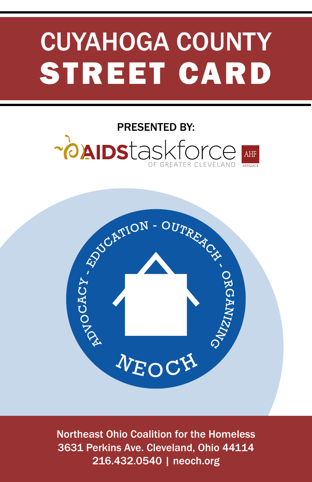# CUYAHOGA COUNTY STREET CARD

### PRESENTED BY:~**painstaskforce** AHF



Northeast Ohio Coalition for the Homeless 3631 Perkins Ave. Cleveland, Ohio 44114 216.432.0540 | neoch.org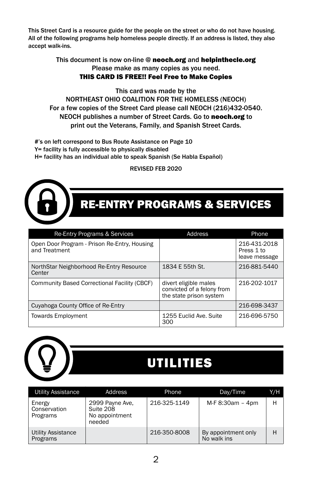This Street Card is a resource guide for the people on the street or who do not have housing. All of the following programs help homeless people directly. If an address is listed, they also accept walk-ins.

#### This document is now on-line @ neoch.org and helpinthecle.org Please make as many copies as you need. THIS CARD IS FREE!! Feel Free to Make Copies

This card was made by the NORTHEAST OHIO COALITION FOR THE HOMELESS (NEOCH) For a few copies of the Street Card please call NEOCH (216)432-0540. NEOCH publishes a number of Street Cards. Go to neoch.org to print out the Veterans, Family, and Spanish Street Cards.

 #'s on left correspond to Bus Route Assistance on Page 10 Y= facility is fully accessible to physically disabled H= facility has an individual able to speak Spanish (Se Habla Español)

#### REVISED FEB 2020



### RE-ENTRY PROGRAMS & SERVICES

| Re-Entry Programs & Services                                  | Address                                                                        | <b>Phone</b>                                |  |
|---------------------------------------------------------------|--------------------------------------------------------------------------------|---------------------------------------------|--|
| Open Door Program - Prison Re-Entry, Housing<br>and Treatment |                                                                                | 216-431-2018<br>Press 1 to<br>leave message |  |
| NorthStar Neighborhood Re-Entry Resource<br>Center            | 1834 E 55th St.                                                                | 216-881-5440                                |  |
| Community Based Correctional Facility (CBCF)                  | divert eligible males<br>convicted of a felony from<br>the state prison system | 216-202-1017                                |  |
| Cuyahoga County Office of Re-Entry                            |                                                                                | 216-698-3437                                |  |
| <b>Towards Employment</b>                                     | 1255 Euclid Ave. Suite<br>300                                                  | 216-696-5750                                |  |



### UTILITIES

| <b>Utility Assistance</b>             | Address                                                  | Phone        | Day/Time                           | Y/H |
|---------------------------------------|----------------------------------------------------------|--------------|------------------------------------|-----|
| Energy<br>Conservation<br>Programs    | 2999 Payne Ave,<br>Suite 208<br>No appointment<br>needed | 216-325-1149 | M-F 8:30am - 4pm                   | Н   |
| <b>Utility Assistance</b><br>Programs |                                                          | 216-350-8008 | By appointment only<br>No walk ins | Н   |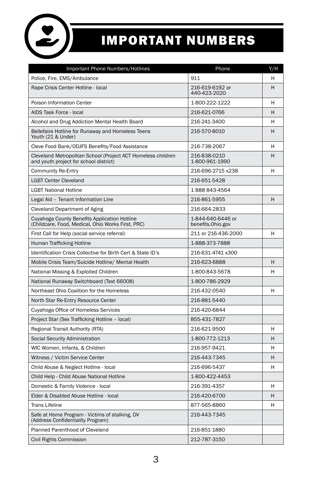

### IMPORTANT NUMBERS

| Important Phone Numbers/Hotlines                                                                       | Phone                                  | Y/H |
|--------------------------------------------------------------------------------------------------------|----------------------------------------|-----|
| Police, Fire, EMS/Ambulance                                                                            | 911                                    | н   |
| Rape Crisis Center Hotline - local                                                                     | 216-619-6192 or<br>440-423-2020        | н   |
| Poison Information Center                                                                              | 1-800-222-1222                         | н   |
| AIDS Task Force - local                                                                                | 216-621-0766                           | н   |
| Alcohol and Drug Addiction Mental Health Board                                                         | 216-241-3400                           | н   |
| Bellefaire Hotline for Runaway and Homeless Teens<br>Youth (21 & Under)                                | 216-570-8010                           | н   |
| Cleve Food Bank/ODJFS Benefits/Food Assistance                                                         | 216-738-2067                           | н   |
| Cleveland Metropolitan School (Project ACT Homeless children<br>and youth project for school district) | 216-838-0210<br>1-800-961-1990         | H   |
| <b>Community Re-Entry</b>                                                                              | 216-696-2715 x238                      | н   |
| <b>LGBT Center Cleveland</b>                                                                           | 216-651-5428                           |     |
| <b>LGBT National Hotline</b>                                                                           | 1888843-4564                           |     |
| Legal Aid - Tenant Information Line                                                                    | 216-861-5955                           | H   |
| Cleveland Department of Aging                                                                          | 216-664-2833                           |     |
| Cuyahoga County Benefits Application Hotline<br>(Childcare, Food, Medical, Ohio Works First, PRC)      | 1-844-640-6446 or<br>benefits.Ohio.gov |     |
| First Call for Help (social service referral)                                                          | 211 or 216-436-2000                    | н   |
| Human Trafficking Hotline                                                                              | 1-888-373-7888                         |     |
| Identification Crisis Collective for Birth Cert & State ID's                                           | 216-631-4741 x300                      |     |
| Mobile Crisis Team/Suicide Hotline/ Mental Health                                                      | 216-623-6888                           | Н   |
| National Missing & Exploited Children                                                                  | 1-800-843-5678                         | H   |
| National Runaway Switchboard (Text 66008)                                                              | 1-800-786-2929                         |     |
| Northeast Ohio Coalition for the Homeless                                                              | 216-432-0540                           | н   |
| North Star Re-Entry Resource Center                                                                    | 216-881-5440                           |     |
| Cuyahoga Office of Homeless Services                                                                   | 216-420-6844                           |     |
| Project Star (Sex Trafficking Hotline - local)                                                         | 855-431-7827                           |     |
| Regional Transit Authority (RTA)                                                                       | 216-621-9500                           | Н   |
| Social Security Administration                                                                         | 1-800-772-1213                         | H   |
| WIC Women, Infants, & Children                                                                         | 216-957-9421                           | H   |
| Witness / Victim Service Center                                                                        | 216-443-7345                           | н   |
| Child Abuse & Neglect Hotline - local                                                                  | 216-696-5437                           | н   |
| Child Help - Child Abuse National Hotline                                                              | 1-800-422-4453                         |     |
| Domestic & Family Violence - local                                                                     | 216-391-4357                           | H   |
| Elder & Disabled Abuse Hotline - local                                                                 | 216-420-6700                           | н   |
| <b>Trans Lifeline</b>                                                                                  | 877-565-8860                           | Н   |
| Safe at Home Program - Victims of stalking, DV<br>(Address Confidentiality Program)                    | 216-443-7345                           |     |
| Planned Parenthood of Cleveland                                                                        | 216-851-1880                           |     |
| Civil Rights Commission                                                                                | 212-787-3150                           |     |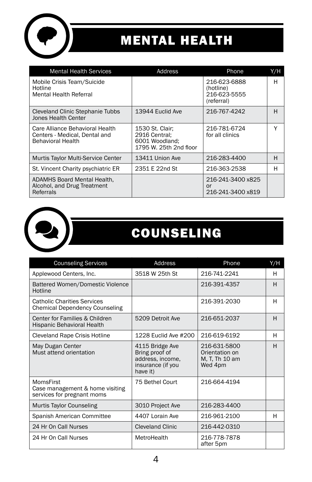

### MENTAL HEALTH

| <b>Mental Health Services</b>                                                                | Address                                                                      | Phone                                                   | Y/H |
|----------------------------------------------------------------------------------------------|------------------------------------------------------------------------------|---------------------------------------------------------|-----|
| Mobile Crisis Team/Suicide<br>Hotline<br>Mental Health Referral                              |                                                                              | 216-623-6888<br>(hotline)<br>216-623-5555<br>(referral) | н   |
| Cleveland Clinic Stephanie Tubbs<br>Jones Health Center                                      | 13944 Euclid Ave                                                             | 216-767-4242                                            | н   |
| Care Alliance Behavioral Health<br>Centers - Medical, Dental and<br><b>Behavioral Health</b> | 1530 St. Clair;<br>2916 Central:<br>6001 Woodland:<br>1795 W. 25th 2nd floor | 216-781-6724<br>for all clinics                         | Υ   |
| Murtis Taylor Multi-Service Center                                                           | 13411 Union Ave                                                              | 216-283-4400                                            | н   |
| St. Vincent Charity psychiatric ER                                                           | 2351 E 22nd St                                                               | 216-363-2538                                            | н   |
| <b>ADAMHS Board Mental Health.</b><br>Alcohol, and Drug Treatment<br>Referrals               |                                                                              | 216-241-3400 x825<br>or<br>216-241-3400 x819            |     |



### **COUNSELING**

| <b>Counseling Services</b>                                                  | Address                                                                                | Phone                                                       | Y/H |
|-----------------------------------------------------------------------------|----------------------------------------------------------------------------------------|-------------------------------------------------------------|-----|
| Applewood Centers, Inc.                                                     | 3518 W 25th St                                                                         | 216-741-2241                                                | н   |
| Battered Women/Domestic Violence<br>Hotline                                 |                                                                                        | 216-391-4357                                                | H   |
| <b>Catholic Charities Services</b><br><b>Chemical Dependency Counseling</b> |                                                                                        | 216-391-2030                                                | н   |
| Center for Families & Children<br>Hispanic Behavioral Health                | 5209 Detroit Ave                                                                       | 216-651-2037                                                | H   |
| Cleveland Rape Crisis Hotline                                               | 1228 Euclid Ave #200                                                                   | 216-619-6192                                                | н   |
| May Dugan Center<br>Must attend orientation                                 | 4115 Bridge Ave<br>Bring proof of<br>address, income,<br>insurance (if you<br>have it) | 216-631-5800<br>Orientation on<br>M, T, Th 10 am<br>Wed 4pm | H   |
| MomsFirst<br>Case management & home visiting<br>services for pregnant moms  | 75 Bethel Court                                                                        | 216-664-4194                                                |     |
| Murtis Taylor Counseling                                                    | 3010 Project Ave                                                                       | 216-283-4400                                                |     |
| Spanish American Committee                                                  | 4407 Lorain Ave                                                                        | 216-961-2100                                                | н   |
| 24 Hr On Call Nurses                                                        | Cleveland Clinic                                                                       | 216-442-0310                                                |     |
| 24 Hr On Call Nurses                                                        | MetroHealth                                                                            | 216-778-7878<br>after 5pm                                   |     |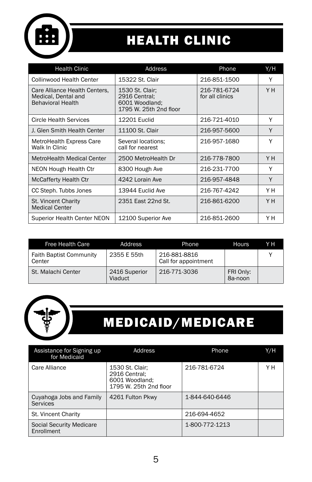

### HEALTH CLINIC

| <b>Health Clinic</b>                                                             | Address                                                                      | Phone                           | Y/H |
|----------------------------------------------------------------------------------|------------------------------------------------------------------------------|---------------------------------|-----|
| Collinwood Health Center                                                         | 15322 St. Clair                                                              | 216-851-1500                    | Υ   |
| Care Alliance Health Centers.<br>Medical, Dental and<br><b>Behavioral Health</b> | 1530 St. Clair;<br>2916 Central:<br>6001 Woodland:<br>1795 W. 25th 2nd floor | 216-781-6724<br>for all clinics | YH. |
| Circle Health Services                                                           | <b>12201 Euclid</b>                                                          | 216-721-4010                    | Υ   |
| J. Glen Smith Health Center                                                      | 11100 St. Clair                                                              | 216-957-5600                    | Y   |
| MetroHealth Express Care<br>Walk In Clinic                                       | Several locations:<br>call for nearest                                       | 216-957-1680                    | Υ   |
| MetroHealth Medical Center                                                       | 2500 MetroHealth Dr                                                          | 216-778-7800                    | Y H |
| NEON Hough Health Ctr                                                            | 8300 Hough Ave                                                               | 216-231-7700                    | Y   |
| <b>McCafferty Health Ctr</b>                                                     | 4242 Lorain Ave                                                              | 216-957-4848                    | Y   |
| CC Steph. Tubbs Jones                                                            | 13944 Euclid Ave                                                             | 216-767-4242                    | Y H |
| St. Vincent Charity<br><b>Medical Center</b>                                     | 2351 East 22nd St.                                                           | 216-861-6200                    | Y H |
| <b>Superior Health Center NEON</b>                                               | 12100 Superior Ave                                                           | 216-851-2600                    | Y H |

| <b>Free Health Care</b>                  | Address                  | <b>Phone</b>                         | <b>Hours</b>         | Y H |
|------------------------------------------|--------------------------|--------------------------------------|----------------------|-----|
| <b>Faith Baptist Community</b><br>Center | 2355 E 55th              | 216-881-8816<br>Call for appointment |                      |     |
| St. Malachi Center                       | 2416 Superior<br>Viaduct | 216-771-3036                         | FRI Only:<br>8a-noon |     |



### MEDICAID/MEDICARE

| Assistance for Signing up<br>for Medicaid   | Address                                                                      | Phone          | Y/H |
|---------------------------------------------|------------------------------------------------------------------------------|----------------|-----|
| Care Alliance                               | 1530 St. Clair:<br>2916 Central:<br>6001 Woodland:<br>1795 W. 25th 2nd floor | 216-781-6724   | Y H |
| Cuyahoga Jobs and Family<br><b>Services</b> | 4261 Fulton Pkwy                                                             | 1-844-640-6446 |     |
| St. Vincent Charity                         |                                                                              | 216-694-4652   |     |
| Social Security Medicare<br>Enrollment      |                                                                              | 1-800-772-1213 |     |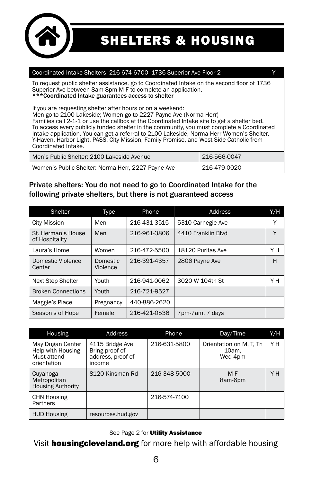

SHELTERS & HOUSING

#### Coordinated Intake Shelters 216-674-6700 1736 Superior Ave Floor 2

To request public shelter assistance, go to Coordinated Intake on the second floor of 1736 Superior Ave between 8am-8pm M-F to complete an application. \*\*\*Coordinated Intake guarantees access to shelter

If you are requesting shelter after hours or on a weekend:

Men go to 2100 Lakeside; Women go to 2227 Payne Ave (Norma Herr) Families call 2-1-1 or use the callbox at the Coordinated Intake site to get a shelter bed. To access every publicly funded shelter in the community, you must complete a Coordinated Intake application. You can get a referral to 2100 Lakeside, Norma Herr Women's Shelter, Y-Haven, Harbor Light, PASS, City Mission, Family Promise, and West Side Catholic from Coordinated Intake.

| Men's Public Shelter: 2100 Lakeside Avenue         | 216-566-0047 |
|----------------------------------------------------|--------------|
| Women's Public Shelter: Norma Herr, 2227 Payne Ave | 216-479-0020 |

#### Private shelters: You do not need to go to Coordinated Intake for the following private shelters, but there is not guaranteed access

| Shelter                              | Type                        | Phone        | Address            | Y/H |
|--------------------------------------|-----------------------------|--------------|--------------------|-----|
| <b>City Mission</b>                  | Men                         | 216-431-3515 | 5310 Carnegie Ave  | Υ   |
| St. Herman's House<br>of Hospitality | Men                         | 216-961-3806 | 4410 Franklin Blvd | Y   |
| Laura's Home                         | Women                       | 216-472-5500 | 18120 Puritas Ave  | Y H |
| Domestic Violence<br>Center          | <b>Domestic</b><br>Violence | 216-391-4357 | 2806 Payne Ave     | H   |
| <b>Next Step Shelter</b>             | Youth                       | 216-941-0062 | 3020 W 104th St    | YΗ  |
| <b>Broken Connections</b>            | Youth                       | 216-721-9527 |                    |     |
| Maggie's Place                       | Pregnancy                   | 440-886-2620 |                    |     |
| Season's of Hope                     | Female                      | 216-421-0536 | 7pm-7am, 7 days    |     |

| Housing                                                             | Address                                                          | Phone        | Day/Time                                   | Y/H |
|---------------------------------------------------------------------|------------------------------------------------------------------|--------------|--------------------------------------------|-----|
| May Dugan Center<br>Help with Housing<br>Must attend<br>orientation | 4115 Bridge Ave<br>Bring proof of<br>address, proof of<br>income | 216-631-5800 | Orientation on M.T. Th<br>10am.<br>Wed 4pm | Y H |
| Cuyahoga<br>Metropolitan<br><b>Housing Authority</b>                | 8120 Kinsman Rd                                                  | 216-348-5000 | M-F<br>8am-6pm                             | Y H |
| <b>CHN Housing</b><br>Partners                                      |                                                                  | 216-574-7100 |                                            |     |
| <b>HUD Housing</b>                                                  | resources.hud.gov                                                |              |                                            |     |

#### See Page 2 for Utility Assistance

#### Visit **housingcleveland.org** for more help with affordable housing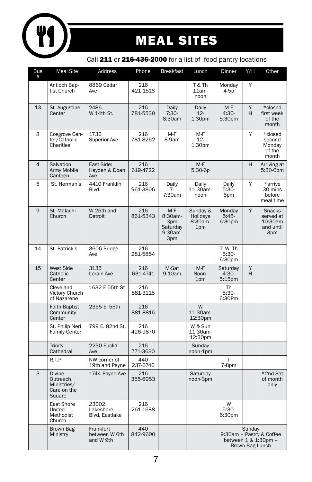

### MEAL SITES

#### Call 211 or 216-436-2000 for a list of food pantry locations

| <b>Bus</b><br># | <b>Meal Site</b>                                                  | <b>Address</b>                          | Phone           | <b>Breakfast</b>                                         | Lunch                                  | Dinner                           | Y/H                       | Other                                                     |
|-----------------|-------------------------------------------------------------------|-----------------------------------------|-----------------|----------------------------------------------------------|----------------------------------------|----------------------------------|---------------------------|-----------------------------------------------------------|
|                 | Antioch Bap-<br>tist Church                                       | 8869 Cedar<br>Ave                       | 216<br>421-1516 |                                                          | T & Th<br>$11am -$<br>noon             | Monday<br>4-5p                   | Y                         |                                                           |
| 13              | St. Augustine<br>Center                                           | 2486<br>W 14th St.                      | 216<br>781-5530 | Daily<br>$7:30-$<br>8:30am                               | Daily<br>$12 -$<br>1:30pm              | $M-F$<br>$4:30-$<br>5:30pm       | Y<br>H                    | *closed<br>first week<br>of the<br>month                  |
| 8               | Cosgrove Cen-<br>ter/Catholic<br>Charities                        | 1736<br><b>Superior Ave</b>             | 216<br>781-8262 | M-F<br>8-9am                                             | M-F<br>$12 -$<br>1:30pm                |                                  | Y                         | *closed<br>second<br>Monday<br>of the<br>month            |
| $\overline{4}$  | Salvation<br>Army Mobile<br>Canteen                               | East Side:<br>Hayden & Doan<br>Ave      | 216<br>619-4722 |                                                          | $M-F$<br>$5:30-6p$                     |                                  | H                         | Arriving at<br>5:30-6pm                                   |
| 5               | St. Herman's                                                      | 4410 Franklin<br><b>Blvd</b>            | 216<br>961-3806 | Daily<br>$7 -$<br>7:30am                                 | Daily<br>11:30am-<br>noon              | Daily<br>5:30-<br>6pm            | Y                         | *arrive<br>30 mins<br>before<br>meal time                 |
| 9               | St. Malachi<br>Church                                             | W 25th and<br>Detroit                   | 216<br>861-5343 | $M-F$<br>8:30am-<br>3pm<br>Saturday<br>$9:30am -$<br>3pm | Sunday &<br>Holidays<br>8:30am-<br>1pm | Monday<br>$5:45-$<br>6:30pm      | Y                         | <b>Snacks</b><br>served at<br>10:30am<br>and until<br>3pm |
| 14              | St. Patrick's                                                     | 3606 Bridge<br>Ave                      | 216<br>281-5854 |                                                          |                                        | T. W. Th<br>$5:30-$<br>6:30pm    |                           |                                                           |
| 15              | <b>West Side</b><br>Catholic<br>Center                            | 3135<br>Lorain Ave                      | 216<br>631-4741 | M-Sat<br>9-10am                                          | $M-F$<br>Noon-<br>1pm                  | Saturday<br>$4:30-$<br>$5:15$ pm | Y<br>H                    |                                                           |
|                 | Cleveland<br>Victory Church<br>of Nazarene                        | 1632 E 55th St                          | 216<br>881-3115 |                                                          |                                        | <b>Th</b><br>$5:30-$<br>6:30Pm   |                           |                                                           |
|                 | <b>Faith Baptist</b><br>Community<br>Center                       | 2355 E. 55th                            | 216<br>881-8816 |                                                          | W<br>11:30am-<br>12:30pm               |                                  |                           |                                                           |
|                 | St. Philip Neri<br><b>Family Center</b>                           | 799 E. 82nd St.                         | 216<br>426-9870 |                                                          | W & Sun<br>11:30am-<br>12:30pm         |                                  |                           |                                                           |
|                 | Trinity<br>Cathedral                                              | 2230 Euclid<br>Ave                      | 216<br>771-3630 |                                                          | Sunday<br>noon-1pm                     |                                  |                           |                                                           |
|                 | R.T.P                                                             | NW corner of<br>19th and Payne          | 440<br>237-3740 |                                                          |                                        | T<br>7-8pm                       |                           |                                                           |
| 3               | <b>Divine</b><br>Outreach<br>Ministries/<br>Care on the<br>Square | 1744 Payne Ave                          | 216<br>355-6953 |                                                          | Saturday<br>noon-3pm                   |                                  |                           | *2nd Sat<br>of month<br>only                              |
|                 | East Shore<br>United<br>Methodist<br>Church                       | 23002<br>Lakeshore<br>Blvd, Eastlake    | 216<br>261-1688 |                                                          |                                        | W<br>$5:30-$<br>6:30pm           |                           |                                                           |
|                 | Brown Bag<br>Ministry                                             | Frankfort<br>between W 6th<br>and W 9th | 440<br>842-9600 |                                                          |                                        |                                  | Sunday<br>Brown Bag Lunch | 9:30am - Pastry & Coffee<br>between 1 & 1:30pm -          |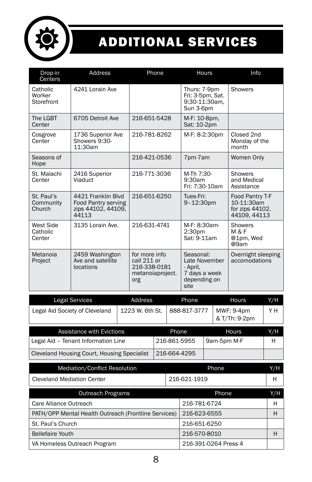

## ADDITIONAL SERVICES

| Drop-in<br>Centers                | <b>Address</b>                                                           | Phone                                                                   | <b>Hours</b>                                                                    | Info                                                             |
|-----------------------------------|--------------------------------------------------------------------------|-------------------------------------------------------------------------|---------------------------------------------------------------------------------|------------------------------------------------------------------|
| Catholic<br>Worker<br>Storefront  | 4241 Lorain Ave                                                          |                                                                         | Thurs: 7-9pm<br>Fri: 3-5pm, Sat.<br>9:30-11:30am.<br>Sun 3-6pm                  | Showers                                                          |
| The LGBT<br>Center                | 6705 Detroit Ave                                                         | 216-651-5428                                                            | M-F: 10-8pm,<br>Sat: 10-2pm                                                     |                                                                  |
| Cosgrove<br>Center                | 1736 Superior Ave<br>Showers 9:30-<br>11:30am                            | 216-781-8262                                                            | M-F: 8-2:30pm                                                                   | Closed 2nd<br>Monday of the<br>month                             |
| Seasons of<br>Hope                |                                                                          | 216-421-0536                                                            | 7pm-7am                                                                         | Women Only                                                       |
| St. Malachi<br>Center             | 2416 Superior<br>Viaduct                                                 | 216-771-3036                                                            | M-Th 7:30-<br>9:30am<br>Fri: 7:30-10am                                          | <b>Showers</b><br>and Medical<br>Assistance                      |
| St. Paul's<br>Community<br>Church | 4421 Franklin Blvd<br>Food Pantry serving<br>zips 44102, 44109.<br>44113 | 216-651-6250                                                            | Tues-Fri:<br>9-12:30pm                                                          | Food Pantry T-F<br>10-11:30am<br>for zips 44102.<br>44109, 44113 |
| West Side<br>Catholic<br>Center   | 3135 Lorain Ave.                                                         | 216-631-4741                                                            | M-F: 8:30am-<br>2:30 <sub>pm</sub><br>Sat: 9-11am                               | Showers<br>M & F<br>@1pm, Wed<br>@9am                            |
| Metanoia<br>Project               | 2459 Washington<br>Ave and satellite<br>locations                        | for more info<br>call 211 or<br>216-338-0181<br>metanoiaproject.<br>org | Seasonal:<br>Late November<br>- April,<br>7 days a week<br>depending on<br>site | Overnight sleeping<br>accomodations                              |

| Legal Services                 | Address         | Phone        | Hours                       | Y/H |
|--------------------------------|-----------------|--------------|-----------------------------|-----|
| Legal Aid Society of Cleveland | 1223 W. 6th St. | 888-817-3777 | MWF: 9-4pm<br>& T/Th: 9-2pm | YΗ  |

| Assistance with Evictions                   | Phone        | <b>Hours</b> | Y/H |
|---------------------------------------------|--------------|--------------|-----|
| Legal Aid - Tenant Information Line         | 216-861-5955 | 9am-5pm M-F  | н   |
| Cleveland Housing Court, Housing Specialist | 216-664-4295 |              |     |

| Mediation/Conflict Resolution                        |              | Phone                | Y/H |
|------------------------------------------------------|--------------|----------------------|-----|
| <b>Cleveland Mediation Center</b>                    | 216-621-1919 |                      | н   |
| Outreach Programs                                    |              | Phone                | Y/H |
| Care Alliance Outreach                               |              | 216-781-6724         | н   |
| PATH/OPP Mental Health Outreach (Frontline Services) |              | 216-623-6555         | н   |
| St. Paul's Church                                    |              | 216-651-6250         |     |
| <b>Bellefaire Youth</b>                              |              | 216-570-8010         |     |
| VA Homeless Outreach Program                         |              | 216-391-0264 Press 4 |     |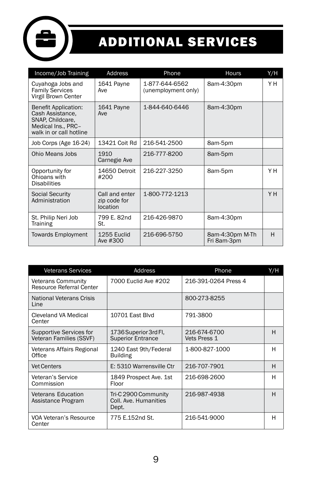

## ADDITIONAL SERVICES

| Income/Job Training                                                                                                  | Address                                    | Phone                                 | Hours                          | Y/H |
|----------------------------------------------------------------------------------------------------------------------|--------------------------------------------|---------------------------------------|--------------------------------|-----|
| Cuyahoga Jobs and<br><b>Family Services</b><br>Virgil Brown Center                                                   | 1641 Payne<br>Ave                          | 1-877-644-6562<br>(unemployment only) | 8am-4:30pm                     | Y H |
| <b>Benefit Application:</b><br>Cash Assistance,<br>SNAP, Childcare,<br>Medical Ins., PRC-<br>walk in or call hotline | 1641 Payne<br>Ave                          | 1-844-640-6446                        | 8am-4:30pm                     |     |
| Job Corps (Age 16-24)                                                                                                | 13421 Coit Rd                              | 216-541-2500                          | 8am-5pm                        |     |
| Ohio Means Jobs                                                                                                      | 1910<br>Carnegie Ave                       | 216-777-8200                          | 8am-5pm                        |     |
| Opportunity for<br>Ohioans with<br><b>Disabilities</b>                                                               | 14650 Detroit<br>#200                      | 216-227-3250                          | 8am-5pm                        | Y H |
| <b>Social Security</b><br>Administration                                                                             | Call and enter<br>zip code for<br>location | 1-800-772-1213                        |                                | YH  |
| St. Philip Neri Job<br>Training                                                                                      | 799 E. 82nd<br>St.                         | 216-426-9870                          | 8am-4:30pm                     |     |
| <b>Towards Employment</b>                                                                                            | 1255 Euclid<br>Ave #300                    | 216-696-5750                          | 8am-4:30pm M-Th<br>Fri 8am-3pm | H   |

| <b>Veterans Services</b>                              | Address                                                | Phone                        | Y/H |
|-------------------------------------------------------|--------------------------------------------------------|------------------------------|-----|
| <b>Veterans Community</b><br>Resource Referral Center | 7000 Euclid Ave #202                                   | 216-391-0264 Press 4         |     |
| <b>National Veterans Crisis</b><br>Line               |                                                        | 800-273-8255                 |     |
| Cleveland VA Medical<br>Center                        | 10701 East Blvd                                        | 791-3800                     |     |
| Supportive Services for<br>Veteran Families (SSVF)    | 1736 Superior 3rd Fl,<br><b>Superior Entrance</b>      | 216-674-6700<br>Vets Press 1 | н   |
| Veterans Affairs Regional<br>Office                   | 1240 East 9th/Federal<br><b>Building</b>               | 1-800-827-1000               | н   |
| <b>Vet Centers</b>                                    | E: 5310 Warrensville Ctr                               | 216-707-7901                 | H   |
| Veteran's Service<br>Commission                       | 1849 Prospect Ave. 1st<br>Floor                        | 216-698-2600                 | н   |
| <b>Veterans Education</b><br>Assistance Program       | Tri-C 2900 Community<br>Coll, Ave. Humanities<br>Dept. | 216-987-4938                 | H   |
| VOA Veteran's Resource<br>Center                      | 775 E.152nd St.                                        | 216-541-9000                 | н   |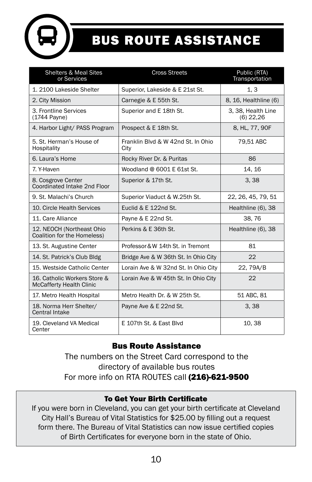

## BUS ROUTE ASSISTANCE

| <b>Shelters &amp; Meal Sites</b><br>or Services                 | <b>Cross Streets</b>                       | Public (RTA)<br>Transportation    |
|-----------------------------------------------------------------|--------------------------------------------|-----------------------------------|
| 1. 2100 Lakeside Shelter                                        | Superior, Lakeside & E 21st St.            | 1, 3                              |
| 2. City Mission                                                 | Carnegie & E 55th St.                      | 8, 16, Healthline (6)             |
| 3. Frontline Services<br>(1744 Payne)                           | Superior and E 18th St.                    | 3, 38, Health Line<br>$(6)$ 22,26 |
| 4. Harbor Light/ PASS Program                                   | Prospect & E 18th St.                      | 8, HL, 77, 90F                    |
| 5. St. Herman's House of<br>Hospitality                         | Franklin Blyd & W 42nd St. In Ohio<br>City | 79.51 ABC                         |
| 6. Laura's Home                                                 | Rocky River Dr. & Puritas                  | 86                                |
| 7. Y-Haven                                                      | Woodland @ 6001 E 61st St.                 | 14.16                             |
| 8. Cosgrove Center<br>Coordinated Intake 2nd Floor              | Superior & 17th St.                        | 3,38                              |
| 9. St. Malachi's Church                                         | Superior Viaduct & W.25th St.              | 22, 26, 45, 79, 51                |
| 10. Circle Health Services                                      | Euclid & E 122nd St.                       | Healthline (6), 38                |
| 11. Care Alliance                                               | Payne & E 22nd St.                         | 38,76                             |
| 12. NEOCH (Northeast Ohio<br>Coalition for the Homeless)        | Perkins & E 36th St.                       | Healthline (6), 38                |
| 13. St. Augustine Center                                        | Professor & W 14th St. in Tremont          | 81                                |
| 14. St. Patrick's Club Bldg                                     | Bridge Ave & W 36th St. In Ohio City       | 22                                |
| 15. Westside Catholic Center                                    | Lorain Ave & W 32nd St. In Ohio City       | 22, 79A/B                         |
| 16. Catholic Workers Store &<br><b>McCafferty Health Clinic</b> | Lorain Ave & W 45th St. In Ohio City       | 22                                |
| 17. Metro Health Hospital                                       | Metro Health Dr. & W 25th St.              | 51 ABC, 81                        |
| 18. Norma Herr Shelter/<br><b>Central Intake</b>                | Payne Ave & E 22nd St.                     | 3,38                              |
| 19. Cleveland VA Medical<br>Center                              | E 107th St. & East Blvd                    | 10, 38                            |

#### Bus Route Assistance

The numbers on the Street Card correspond to the directory of available bus routes For more info on RTA ROUTES call (216)-621-9500

#### To Get Your Birth Certificate

If you were born in Cleveland, you can get your birth certificate at Cleveland City Hall's Bureau of Vital Statistics for \$25.00 by filling out a request form there. The Bureau of Vital Statistics can now issue certified copies of Birth Certificates for everyone born in the state of Ohio.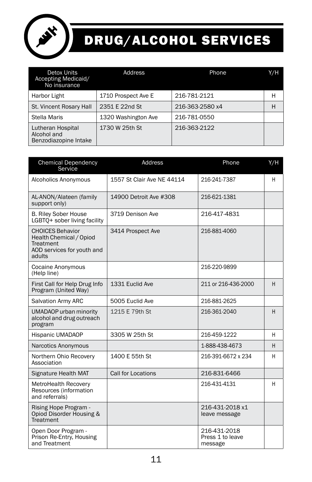

### DRUG/ALCOHOL SERVICES

| Detox Units<br>Accepting Medicaid/<br>No insurance        | Address             | Phone           | Y/H |
|-----------------------------------------------------------|---------------------|-----------------|-----|
| Harbor Light                                              | 1710 Prospect Ave E | 216-781-2121    | н   |
| St. Vincent Rosary Hall                                   | 2351 E 22nd St      | 216-363-2580 x4 | н   |
| Stella Maris                                              | 1320 Washington Ave | 216-781-0550    |     |
| Lutheran Hospital<br>Alcohol and<br>Benzodiazopine Intake | 1730 W 25th St      | 216-363-2122    |     |

| <b>Chemical Dependency</b><br>Service                                                                   | Address                    | Phone                                       | Y/H |
|---------------------------------------------------------------------------------------------------------|----------------------------|---------------------------------------------|-----|
| Alcoholics Anonymous                                                                                    | 1557 St Clair Ave NE 44114 | 216-241-7387                                | H   |
| AL-ANON/Alateen (family<br>support only)                                                                | 14900 Detroit Ave #308     | 216-621-1381                                |     |
| <b>B. Riley Sober House</b><br>LGBTO+ sober living facility                                             | 3719 Denison Ave           | 216-417-4831                                |     |
| <b>CHOICES Behavior</b><br>Health Chemical / Opiod<br>Treatment<br>AOD services for youth and<br>adults | 3414 Prospect Ave          | 216-881-4060                                |     |
| <b>Cocaine Anonymous</b><br>(Help line)                                                                 |                            | 216-220-9899                                |     |
| First Call for Help Drug Info<br>Program (United Way)                                                   | 1331 Euclid Ave            | 211 or 216-436-2000                         | н   |
| Salvation Army ARC                                                                                      | 5005 Euclid Ave            | 216-881-2625                                |     |
| <b>UMADAOP</b> urban minority<br>alcohol and drug outreach<br>program                                   | 1215 E 79th St             | 216-361-2040                                | н   |
| Hispanic UMADAOP                                                                                        | 3305 W 25th St             | 216-459-1222                                | н   |
| Narcotics Anonymous                                                                                     |                            | 1-888-438-4673                              | н   |
| Northern Ohio Recovery<br>Association                                                                   | 1400 E 55th St             | 216-391-6672 x 234                          | н   |
| Signature Health MAT                                                                                    | Call for Locations         | 216-831-6466                                |     |
| MetroHealth Recovery<br>Resources (information<br>and referrals)                                        |                            | 216-431-4131                                | H   |
| Rising Hope Program -<br>Opiod Disorder Housing &<br>Treatment                                          |                            | 216-431-2018 x1<br>leave message            |     |
| Open Door Program -<br>Prison Re-Entry, Housing<br>and Treatment                                        |                            | 216-431-2018<br>Press 1 to leave<br>message |     |